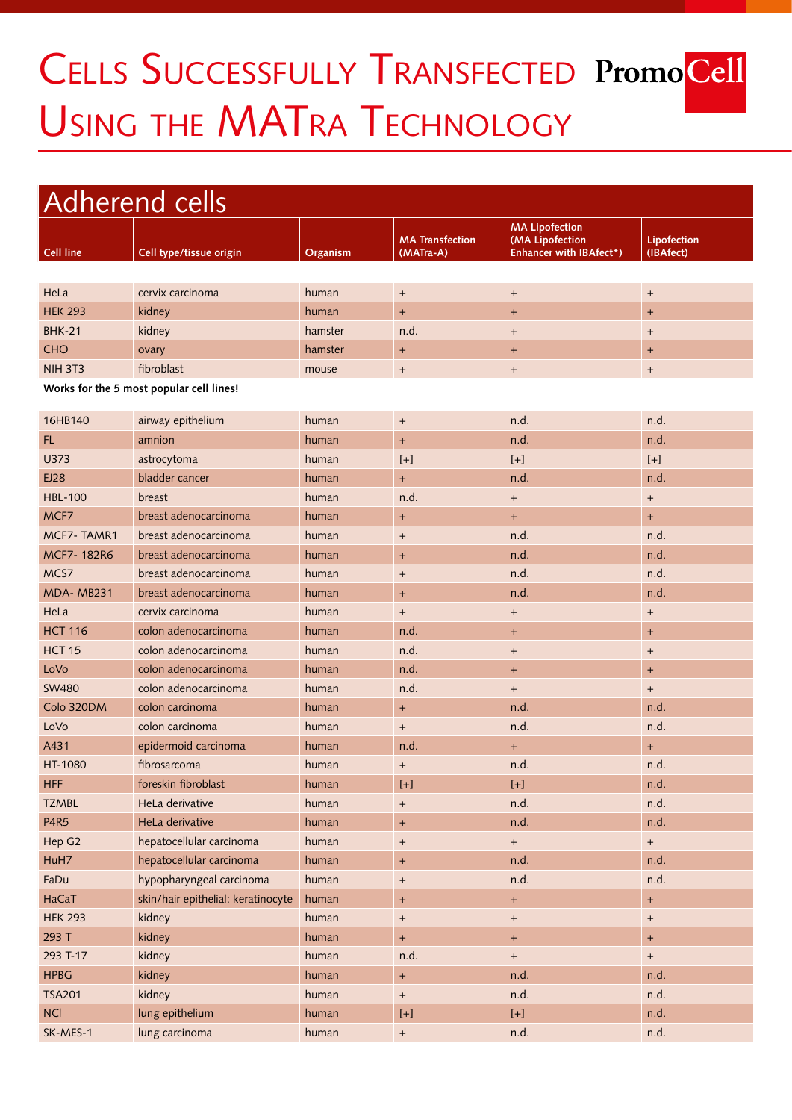## CELLS SUCCESSFULLY TRANSFECTED PromoCell USING THE MATRA TECHNOLOGY

## Adherend cells **Cell line Cell type/tissue origin Organism MA Transfection (MATra-A) MA Lipofection (MA Lipofection Enhancer with IBAfect\*) Lipofection (IBAfect)** HeLa cervix carcinoma human + + + HEK 293 kidney human + + + BHK-21 kidney hamster n.d. + + CHO ovary hamster + + + NIH 3T3 fibroblast mouse + + +

**Works for the 5 most popular cell lines!**

| 16HB140           | airway epithelium                  | human | $\begin{array}{c} + \end{array}$ | n.d.                                                                                                                                                                                                                                                                                                         | n.d.   |
|-------------------|------------------------------------|-------|----------------------------------|--------------------------------------------------------------------------------------------------------------------------------------------------------------------------------------------------------------------------------------------------------------------------------------------------------------|--------|
| FL.               | amnion                             | human | $\ddot{}$                        | n.d.                                                                                                                                                                                                                                                                                                         | n.d.   |
| U373              | astrocytoma                        | human | $[+]$                            | $[+]$                                                                                                                                                                                                                                                                                                        | $[+]$  |
| EJ28              | bladder cancer                     | human | $+$                              | n.d.                                                                                                                                                                                                                                                                                                         | n.d.   |
| <b>HBL-100</b>    | breast                             | human | n.d.                             | $\qquad \qquad +$                                                                                                                                                                                                                                                                                            | $^{+}$ |
| MCF7              | breast adenocarcinoma              | human | $\ddot{}$                        | $+$                                                                                                                                                                                                                                                                                                          | $+$    |
| MCF7-TAMR1        | breast adenocarcinoma              | human | $\begin{array}{c} + \end{array}$ | n.d.                                                                                                                                                                                                                                                                                                         | n.d.   |
| MCF7-182R6        | breast adenocarcinoma              | human | $+$                              | n.d.                                                                                                                                                                                                                                                                                                         | n.d.   |
| MCS7              | breast adenocarcinoma              | human | $\begin{array}{c} + \end{array}$ | n.d.                                                                                                                                                                                                                                                                                                         | n.d.   |
| MDA-MB231         | breast adenocarcinoma              | human | $\ddot{}$                        | n.d.                                                                                                                                                                                                                                                                                                         | n.d.   |
| HeLa              | cervix carcinoma                   | human | $\begin{array}{c} + \end{array}$ | $+$                                                                                                                                                                                                                                                                                                          | $+$    |
| <b>HCT 116</b>    | colon adenocarcinoma               | human | n.d.                             | $+$                                                                                                                                                                                                                                                                                                          | $^{+}$ |
| HCT <sub>15</sub> | colon adenocarcinoma               | human | n.d.                             | $\begin{array}{c} + \end{array}$                                                                                                                                                                                                                                                                             | $+$    |
| LoVo              | colon adenocarcinoma               | human | n.d.                             | $+$                                                                                                                                                                                                                                                                                                          | $^{+}$ |
| <b>SW480</b>      | colon adenocarcinoma               | human | n.d.                             | $+$                                                                                                                                                                                                                                                                                                          | $+$    |
| Colo 320DM        | colon carcinoma                    | human | $+$                              | n.d.                                                                                                                                                                                                                                                                                                         | n.d.   |
| LoVo              | colon carcinoma                    | human | $\ddot{}$                        | n.d.                                                                                                                                                                                                                                                                                                         | n.d.   |
| A431              | epidermoid carcinoma               | human | n.d.                             | $+$                                                                                                                                                                                                                                                                                                          | $+$    |
| HT-1080           | fibrosarcoma                       | human | $\begin{array}{c} + \end{array}$ | n.d.                                                                                                                                                                                                                                                                                                         | n.d.   |
| <b>HFF</b>        | foreskin fibroblast                | human | $[+]$                            | $[+]$                                                                                                                                                                                                                                                                                                        | n.d.   |
| <b>TZMBL</b>      | HeLa derivative                    | human | $\begin{array}{c} + \end{array}$ | n.d.                                                                                                                                                                                                                                                                                                         | n.d.   |
| <b>P4R5</b>       | HeLa derivative                    | human | $\ddot{}$                        | n.d.                                                                                                                                                                                                                                                                                                         | n.d.   |
| Hep G2            | hepatocellular carcinoma           | human | $\ddot{}$                        | $+$                                                                                                                                                                                                                                                                                                          | $+$    |
| HuH7              | hepatocellular carcinoma           | human | $+$                              | n.d.                                                                                                                                                                                                                                                                                                         | n.d.   |
| FaDu              | hypopharyngeal carcinoma           | human | $^{+}$                           | n.d.                                                                                                                                                                                                                                                                                                         | n.d.   |
| HaCaT             | skin/hair epithelial: keratinocyte | human | $+$                              | $+$                                                                                                                                                                                                                                                                                                          | $+$    |
| <b>HEK 293</b>    | kidney                             | human | $\begin{array}{c} + \end{array}$ | $\qquad \qquad +$                                                                                                                                                                                                                                                                                            | $+$    |
| 293 T             | kidney                             | human | $\ddot{}$                        | $+$                                                                                                                                                                                                                                                                                                          | $^{+}$ |
| 293 T-17          | kidney                             | human | n.d.                             | $\qquad \qquad +$                                                                                                                                                                                                                                                                                            | $+$    |
| <b>HPBG</b>       | kidney                             | human | $+$                              | n.d.                                                                                                                                                                                                                                                                                                         | n.d.   |
| <b>TSA201</b>     | kidney                             | human | $\begin{array}{c} + \end{array}$ | n.d.                                                                                                                                                                                                                                                                                                         | n.d.   |
| <b>NCI</b>        | lung epithelium                    | human | $[+]$                            | $[+]% \centering \includegraphics[width=0.45\textwidth]{images/TransY.pdf}% \caption{The figure shows the results of the estimators in the left and right. The left and right is the same as in the right. The right is the same as in the right. The right is the same as in the right.} \label{fig:class}$ | n.d.   |
| SK-MES-1          | lung carcinoma                     | human | $\begin{array}{c} + \end{array}$ | n.d.                                                                                                                                                                                                                                                                                                         | n.d.   |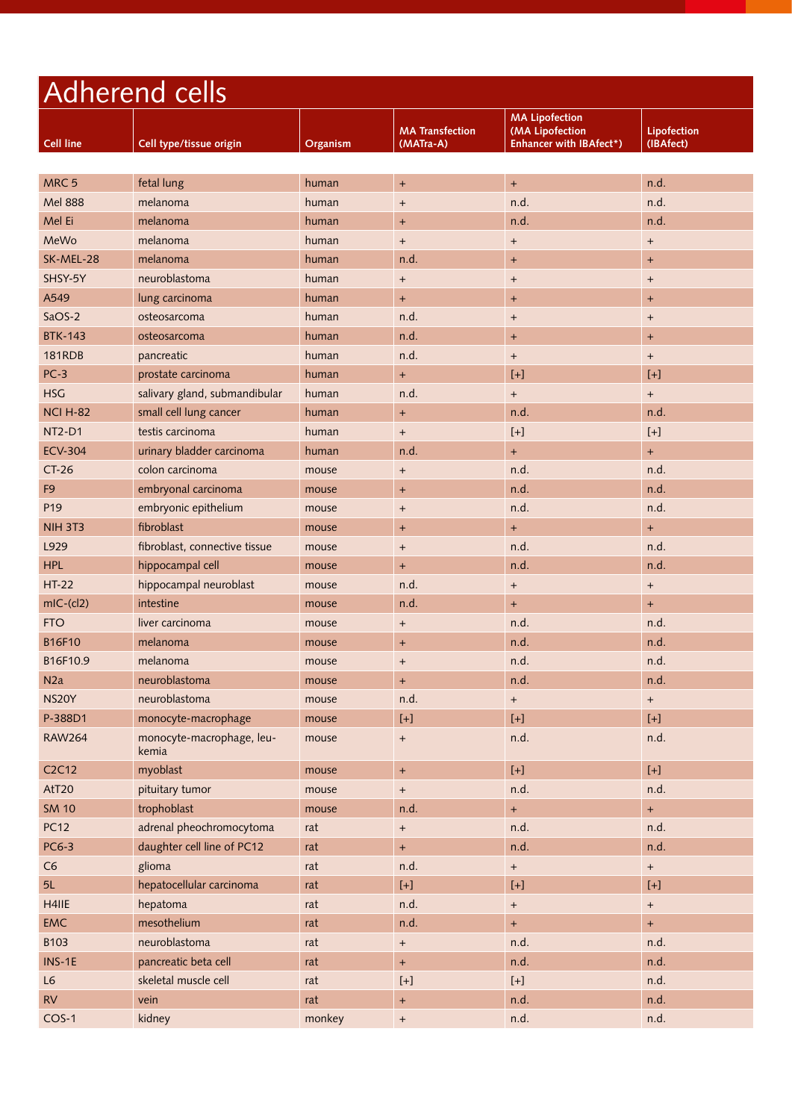| Adherend cells                 |                                    |          |                                                                                                                                                                                                                                                                                                                    |                                                                                                                                                                                                                                                                                                        |                          |
|--------------------------------|------------------------------------|----------|--------------------------------------------------------------------------------------------------------------------------------------------------------------------------------------------------------------------------------------------------------------------------------------------------------------------|--------------------------------------------------------------------------------------------------------------------------------------------------------------------------------------------------------------------------------------------------------------------------------------------------------|--------------------------|
| <b>Cell line</b>               | Cell type/tissue origin            | Organism | <b>MA Transfection</b><br>(MATra-A)                                                                                                                                                                                                                                                                                | <b>MA Lipofection</b><br>(MA Lipofection<br><b>Enhancer with IBAfect*)</b>                                                                                                                                                                                                                             | Lipofection<br>(IBAfect) |
|                                |                                    |          |                                                                                                                                                                                                                                                                                                                    |                                                                                                                                                                                                                                                                                                        |                          |
| MRC <sub>5</sub>               | fetal lung                         | human    | $+$                                                                                                                                                                                                                                                                                                                | $+$                                                                                                                                                                                                                                                                                                    | n.d.                     |
| <b>Mel 888</b>                 | melanoma                           | human    | $\overline{+}$                                                                                                                                                                                                                                                                                                     | n.d.                                                                                                                                                                                                                                                                                                   | n.d.                     |
| Mel Ei                         | melanoma                           | human    | $\ddot{}$                                                                                                                                                                                                                                                                                                          | n.d.                                                                                                                                                                                                                                                                                                   | n.d.                     |
| MeWo                           | melanoma                           | human    | $\begin{array}{c} + \end{array}$                                                                                                                                                                                                                                                                                   | $+$                                                                                                                                                                                                                                                                                                    | $+$                      |
| SK-MEL-28                      | melanoma                           | human    | n.d.                                                                                                                                                                                                                                                                                                               | $+$                                                                                                                                                                                                                                                                                                    | $\ddot{}$                |
| SHSY-5Y                        | neuroblastoma                      | human    | $^{+}$                                                                                                                                                                                                                                                                                                             | $\ddot{}$                                                                                                                                                                                                                                                                                              | $\ddot{}$                |
| A549                           | lung carcinoma                     | human    | $\ddot{}$                                                                                                                                                                                                                                                                                                          | $\ddot{}$                                                                                                                                                                                                                                                                                              | $\ddot{}$                |
| SaOS-2                         | osteosarcoma                       | human    | n.d.                                                                                                                                                                                                                                                                                                               | $+$                                                                                                                                                                                                                                                                                                    | $+$                      |
| <b>BTK-143</b>                 | osteosarcoma                       | human    | n.d.                                                                                                                                                                                                                                                                                                               | $+$                                                                                                                                                                                                                                                                                                    | $\ddot{}$                |
| <b>181RDB</b>                  | pancreatic                         | human    | n.d.                                                                                                                                                                                                                                                                                                               | $+$                                                                                                                                                                                                                                                                                                    | $+$                      |
| $PC-3$                         | prostate carcinoma                 | human    | $\ddot{}$                                                                                                                                                                                                                                                                                                          | $[+]$                                                                                                                                                                                                                                                                                                  | $[+]$                    |
| <b>HSG</b>                     | salivary gland, submandibular      | human    | n.d.                                                                                                                                                                                                                                                                                                               | $+$                                                                                                                                                                                                                                                                                                    | $+$                      |
| <b>NCI H-82</b>                | small cell lung cancer             | human    | $\ddot{}$                                                                                                                                                                                                                                                                                                          | n.d.                                                                                                                                                                                                                                                                                                   | n.d.                     |
| <b>NT2-D1</b>                  | testis carcinoma                   | human    | $\ddot{}$                                                                                                                                                                                                                                                                                                          | $[+]$                                                                                                                                                                                                                                                                                                  | $[+]$                    |
| <b>ECV-304</b>                 | urinary bladder carcinoma          | human    | n.d.                                                                                                                                                                                                                                                                                                               | $+$                                                                                                                                                                                                                                                                                                    | $+$                      |
| $CT-26$                        | colon carcinoma                    | mouse    | $^{+}$                                                                                                                                                                                                                                                                                                             | n.d.                                                                                                                                                                                                                                                                                                   | n.d.                     |
| F <sub>9</sub>                 | embryonal carcinoma                | mouse    | $\ddot{}$                                                                                                                                                                                                                                                                                                          | n.d.                                                                                                                                                                                                                                                                                                   | n.d.                     |
| P <sub>19</sub>                | embryonic epithelium               | mouse    | $^{+}$                                                                                                                                                                                                                                                                                                             | n.d.                                                                                                                                                                                                                                                                                                   | n.d.                     |
| <b>NIH 3T3</b>                 | fibroblast                         | mouse    | $\ddot{}$                                                                                                                                                                                                                                                                                                          | $+$                                                                                                                                                                                                                                                                                                    | $+$                      |
| L929                           | fibroblast, connective tissue      | mouse    | $\ddot{}$                                                                                                                                                                                                                                                                                                          | n.d.                                                                                                                                                                                                                                                                                                   | n.d.                     |
| <b>HPL</b>                     | hippocampal cell                   | mouse    | $\ddot{}$                                                                                                                                                                                                                                                                                                          | n.d.                                                                                                                                                                                                                                                                                                   | n.d.                     |
| $HT-22$                        | hippocampal neuroblast             | mouse    | n.d.                                                                                                                                                                                                                                                                                                               | $\begin{array}{c} + \end{array}$                                                                                                                                                                                                                                                                       | $+$                      |
| $mlC-(cl2)$                    | intestine                          | mouse    | n.d.                                                                                                                                                                                                                                                                                                               | $+$                                                                                                                                                                                                                                                                                                    | $+$                      |
| <b>FTO</b>                     | liver carcinoma                    | mouse    | $^{+}$                                                                                                                                                                                                                                                                                                             | n.d.                                                                                                                                                                                                                                                                                                   | n.d.                     |
| <b>B16F10</b>                  | melanoma                           | mouse    | $\ddot{}$                                                                                                                                                                                                                                                                                                          | n.d.                                                                                                                                                                                                                                                                                                   | n.d.                     |
| B16F10.9                       | melanoma                           | mouse    | $\ddot{}$                                                                                                                                                                                                                                                                                                          | n.d.                                                                                                                                                                                                                                                                                                   | n.d.                     |
| N2a                            | neuroblastoma                      | mouse    | $\ddot{}$                                                                                                                                                                                                                                                                                                          | n.d.                                                                                                                                                                                                                                                                                                   | n.d.                     |
| NS20Y                          | neuroblastoma                      | mouse    | n.d.                                                                                                                                                                                                                                                                                                               | $+$                                                                                                                                                                                                                                                                                                    | $+$                      |
| P-388D1                        | monocyte-macrophage                | mouse    |                                                                                                                                                                                                                                                                                                                    | $[+]% \centering \includegraphics[width=0.45\textwidth]{images/TrDiS-Architecture.png} \caption{The 3D (top) and the 4D (bottom) of the 3D (bottom) and the 4D (bottom) of the 3D (bottom) and the 4D (bottom) of the 3D (bottom) and the 4D (bottom) of the 3D (bottom).} \label{TrDiS-Architecture}$ | $[+]$                    |
| <b>RAW264</b>                  | monocyte-macrophage, leu-<br>kemia | mouse    | $\ddot{}$                                                                                                                                                                                                                                                                                                          | n.d.                                                                                                                                                                                                                                                                                                   | n.d.                     |
| C <sub>2</sub> C <sub>12</sub> | myoblast                           | mouse    | $\boldsymbol{+}$                                                                                                                                                                                                                                                                                                   | $[+]$                                                                                                                                                                                                                                                                                                  | $[+]$                    |
| AtT20                          | pituitary tumor                    | mouse    | $\boldsymbol{+}$                                                                                                                                                                                                                                                                                                   | n.d.                                                                                                                                                                                                                                                                                                   | n.d.                     |
| <b>SM 10</b>                   | trophoblast                        | mouse    | n.d.                                                                                                                                                                                                                                                                                                               | $\pm$                                                                                                                                                                                                                                                                                                  | $+$                      |
| <b>PC12</b>                    | adrenal pheochromocytoma           | rat      | $\begin{array}{c} + \end{array}$                                                                                                                                                                                                                                                                                   | n.d.                                                                                                                                                                                                                                                                                                   | n.d.                     |
| PC6-3                          | daughter cell line of PC12         | rat      | $\ddot{}$                                                                                                                                                                                                                                                                                                          | n.d.                                                                                                                                                                                                                                                                                                   | n.d.                     |
| C6                             | glioma                             | rat      | n.d.                                                                                                                                                                                                                                                                                                               | $\boldsymbol{+}$                                                                                                                                                                                                                                                                                       | $\boldsymbol{+}$         |
| 5L                             | hepatocellular carcinoma           | rat      |                                                                                                                                                                                                                                                                                                                    | $[+]$                                                                                                                                                                                                                                                                                                  | $[+]$                    |
| H4IIE                          | hepatoma                           | rat      | n.d.                                                                                                                                                                                                                                                                                                               | $\boldsymbol{+}$                                                                                                                                                                                                                                                                                       | $+$                      |
| <b>EMC</b>                     | mesothelium                        | rat      | n.d.                                                                                                                                                                                                                                                                                                               | $+$                                                                                                                                                                                                                                                                                                    | $+$                      |
| B103                           | neuroblastoma                      | rat      | $\boldsymbol{+}$                                                                                                                                                                                                                                                                                                   | n.d.                                                                                                                                                                                                                                                                                                   | n.d.                     |
| $INS-1E$                       | pancreatic beta cell               | rat      | $\pm$                                                                                                                                                                                                                                                                                                              | n.d.                                                                                                                                                                                                                                                                                                   | n.d.                     |
| L6                             | skeletal muscle cell               | rat      | $[+]% \centering \includegraphics[width=0.45\textwidth]{images/TransY.pdf}% \caption{The figure shows the results of the estimators in the left hand side. The figure shows the results of the estimators in the right hand side. The figure shows the results of the parameters in the right.} \label{fig:class}$ | $[+]$                                                                                                                                                                                                                                                                                                  | n.d.                     |
| RV                             | vein                               | rat      | $\ddot{}$                                                                                                                                                                                                                                                                                                          | n.d.                                                                                                                                                                                                                                                                                                   | n.d.                     |
| $COS-1$                        | kidney                             | monkey   | $\boldsymbol{+}$                                                                                                                                                                                                                                                                                                   | n.d.                                                                                                                                                                                                                                                                                                   | n.d.                     |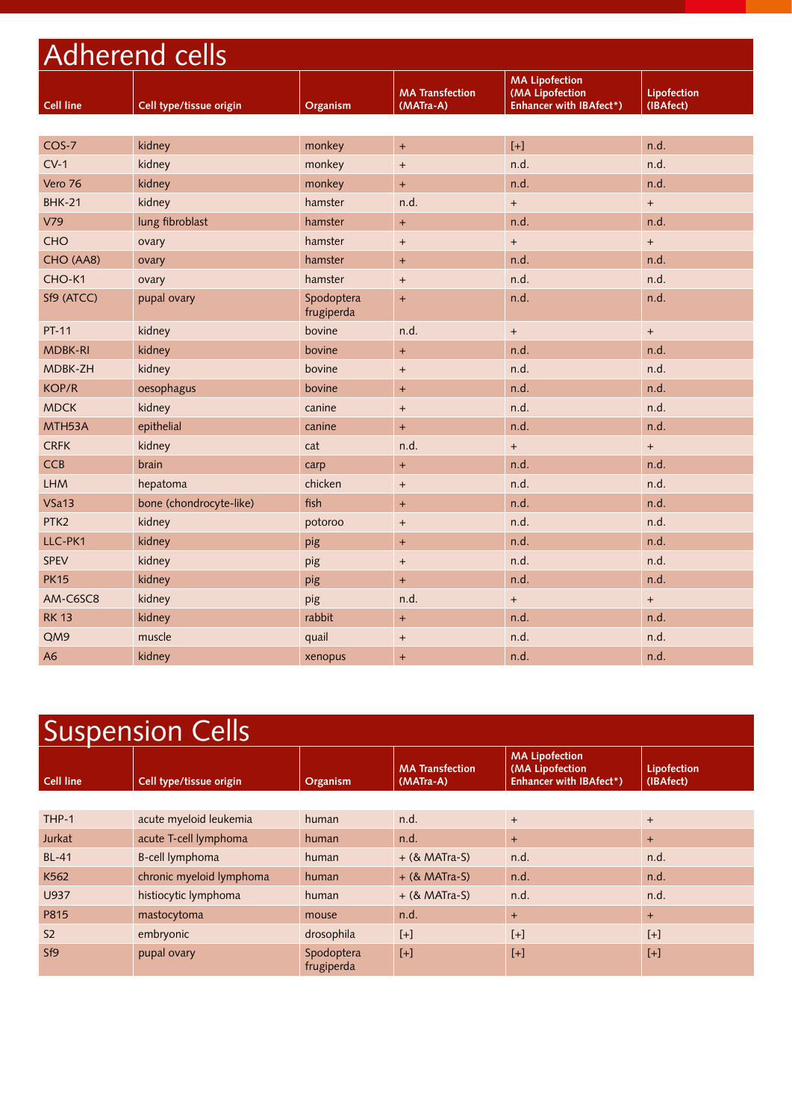| <b>Adherend cells</b> |                         |                          |                                     |                                                                            |                          |
|-----------------------|-------------------------|--------------------------|-------------------------------------|----------------------------------------------------------------------------|--------------------------|
| <b>Cell line</b>      | Cell type/tissue origin | Organism                 | <b>MA Transfection</b><br>(MATra-A) | <b>MA Lipofection</b><br>(MA Lipofection<br><b>Enhancer with IBAfect*)</b> | Lipofection<br>(IBAfect) |
|                       |                         |                          |                                     |                                                                            |                          |
| COS-7                 | kidney                  | monkey                   | $\ddot{}$                           | $[+]$                                                                      | n.d.                     |
| $CV-1$                | kidney                  | monkey                   | $\begin{array}{c} + \end{array}$    | n.d.                                                                       | n.d.                     |
| Vero 76               | kidney                  | monkey                   | $\ddot{}$                           | n.d.                                                                       | n.d.                     |
| <b>BHK-21</b>         | kidney                  | hamster                  | n.d.                                | $+$                                                                        | $+$                      |
| V79                   | lung fibroblast         | hamster                  | $+$                                 | n.d.                                                                       | n.d.                     |
| <b>CHO</b>            | ovary                   | hamster                  | $\qquad \qquad +$                   | $\ddot{}$                                                                  | $^{+}$                   |
| CHO (AA8)             | ovary                   | hamster                  | $+$                                 | n.d.                                                                       | n.d.                     |
| CHO-K1                | ovary                   | hamster                  | $\ddot{}$                           | n.d.                                                                       | n.d.                     |
| Sf9 (ATCC)            | pupal ovary             | Spodoptera<br>frugiperda | $\ddot{}$                           | n.d.                                                                       | n.d.                     |
| <b>PT-11</b>          | kidney                  | bovine                   | n.d.                                | $+$                                                                        | $+$                      |
| <b>MDBK-RI</b>        | kidney                  | bovine                   | $\ddot{}$                           | n.d.                                                                       | n.d.                     |
| <b>MDBK-ZH</b>        | kidney                  | bovine                   | $+$                                 | n.d.                                                                       | n.d.                     |
| <b>KOP/R</b>          | oesophagus              | bovine                   | $+$                                 | n.d.                                                                       | n.d.                     |
| <b>MDCK</b>           | kidney                  | canine                   | $\begin{array}{c} + \end{array}$    | n.d.                                                                       | n.d.                     |
| MTH <sub>53</sub> A   | epithelial              | canine                   | $+$                                 | n.d.                                                                       | n.d.                     |
| <b>CRFK</b>           | kidney                  | cat                      | n.d.                                | $+$                                                                        | $+$                      |
| CCB                   | brain                   | carp                     | $\ddot{}$                           | n.d.                                                                       | n.d.                     |
| <b>LHM</b>            | hepatoma                | chicken                  | $^{+}$                              | n.d.                                                                       | n.d.                     |
| $V$ Sa $13$           | bone (chondrocyte-like) | fish                     | $\ddot{}$                           | n.d.                                                                       | n.d.                     |
| PTK <sub>2</sub>      | kidney                  | potoroo                  | $^{+}$                              | n.d.                                                                       | n.d.                     |
| LLC-PK1               | kidney                  | pig                      | $\ddot{}$                           | n.d.                                                                       | n.d.                     |
| <b>SPEV</b>           | kidney                  | pig                      | $\begin{array}{c} + \end{array}$    | n.d.                                                                       | n.d.                     |
| <b>PK15</b>           | kidney                  | pig                      | $\ddot{}$                           | n.d.                                                                       | n.d.                     |
| AM-C6SC8              | kidney                  | pig                      | n.d.                                | $+$                                                                        | $+$                      |
| <b>RK 13</b>          | kidney                  | rabbit                   | $\ddot{}$                           | n.d.                                                                       | n.d.                     |
| QM9                   | muscle                  | quail                    | $\qquad \qquad +$                   | n.d.                                                                       | n.d.                     |
| A <sub>6</sub>        | kidney                  | xenopus                  | $\ddot{}$                           | n.d.                                                                       | n.d.                     |

| <b>Suspension Cells</b> |                          |                          |                                     |                                                                            |                          |
|-------------------------|--------------------------|--------------------------|-------------------------------------|----------------------------------------------------------------------------|--------------------------|
| Cell line               | Cell type/tissue origin  | Organism                 | <b>MA</b> Transfection<br>(MATra-A) | <b>MA Lipofection</b><br>(MA Lipofection<br><b>Enhancer with IBAfect*)</b> | Lipofection<br>(IBAfect) |
|                         |                          |                          |                                     |                                                                            |                          |
| THP-1                   | acute myeloid leukemia   | human                    | n.d.                                | $+$                                                                        | $+$                      |
| Jurkat                  | acute T-cell lymphoma    | human                    | n.d.                                | $+$                                                                        | $+$                      |
| <b>BL-41</b>            | B-cell lymphoma          | human                    | $+$ (& MATra-S)                     | n.d.                                                                       | n.d.                     |
| K562                    | chronic myeloid lymphoma | human                    | $+$ (& MATra-S)                     | n.d.                                                                       | n.d.                     |
| U937                    | histiocytic lymphoma     | human                    | $+$ (& MATra-S)                     | n.d.                                                                       | n.d.                     |
| P815                    | mastocytoma              | mouse                    | n.d.                                | $+$                                                                        | $+$                      |
| S <sub>2</sub>          | embryonic                | drosophila               | $[+]$                               | $[+]$                                                                      | $[+]$                    |
| Sf <sub>9</sub>         | pupal ovary              | Spodoptera<br>frugiperda | $[+]$                               | $[+]$                                                                      | $[+]$                    |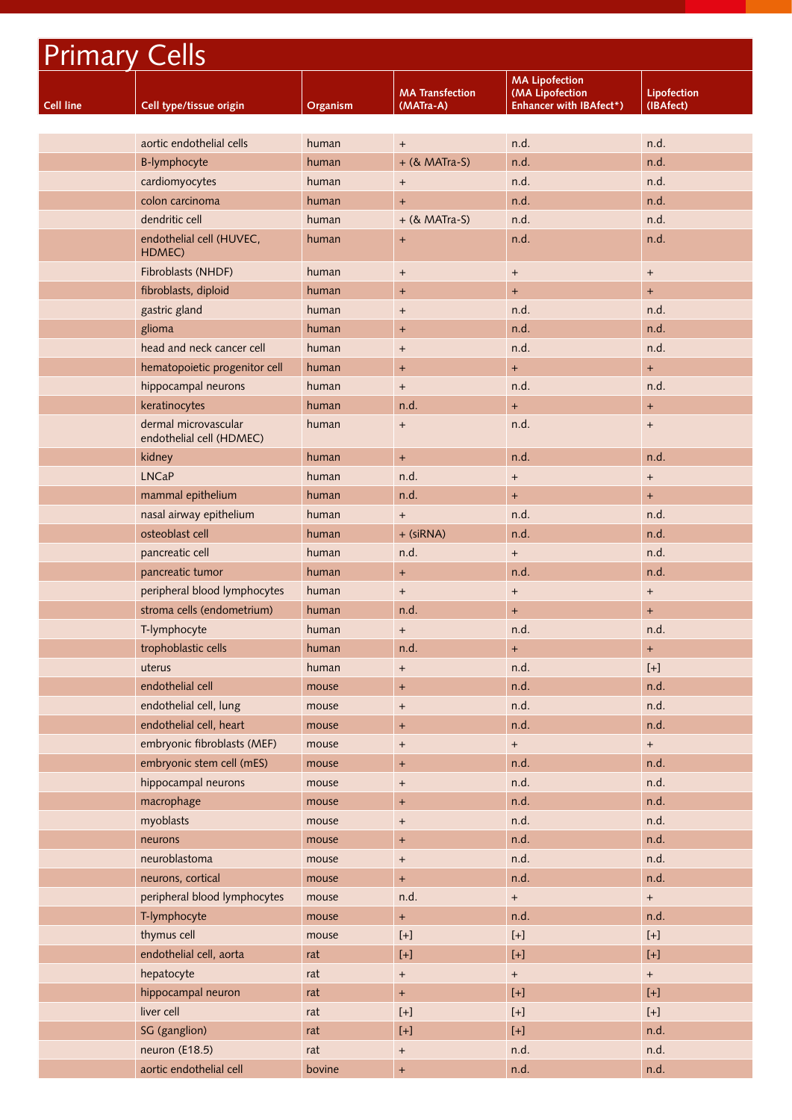| <b>Primary Cells</b> |                                                  |          |                                     |                                                                                                                                                                                                                                                                                                                                                                                                                                                                                                                                                                                                                                                                                                                                                                                                                     |                                                                                                                                                                                                                                                                                                                                                                                                                                                                                                                                                                                                                                                                                                                                                                                                                                                                                                    |
|----------------------|--------------------------------------------------|----------|-------------------------------------|---------------------------------------------------------------------------------------------------------------------------------------------------------------------------------------------------------------------------------------------------------------------------------------------------------------------------------------------------------------------------------------------------------------------------------------------------------------------------------------------------------------------------------------------------------------------------------------------------------------------------------------------------------------------------------------------------------------------------------------------------------------------------------------------------------------------|----------------------------------------------------------------------------------------------------------------------------------------------------------------------------------------------------------------------------------------------------------------------------------------------------------------------------------------------------------------------------------------------------------------------------------------------------------------------------------------------------------------------------------------------------------------------------------------------------------------------------------------------------------------------------------------------------------------------------------------------------------------------------------------------------------------------------------------------------------------------------------------------------|
| <b>Cell line</b>     | Cell type/tissue origin                          | Organism | <b>MA Transfection</b><br>(MATra-A) | <b>MA Lipofection</b><br>(MA Lipofection<br><b>Enhancer with IBAfect*)</b>                                                                                                                                                                                                                                                                                                                                                                                                                                                                                                                                                                                                                                                                                                                                          | <b>Lipofection</b><br>(IBAfect)                                                                                                                                                                                                                                                                                                                                                                                                                                                                                                                                                                                                                                                                                                                                                                                                                                                                    |
|                      |                                                  |          |                                     |                                                                                                                                                                                                                                                                                                                                                                                                                                                                                                                                                                                                                                                                                                                                                                                                                     |                                                                                                                                                                                                                                                                                                                                                                                                                                                                                                                                                                                                                                                                                                                                                                                                                                                                                                    |
|                      | aortic endothelial cells                         | human    | $^{+}$                              | n.d.                                                                                                                                                                                                                                                                                                                                                                                                                                                                                                                                                                                                                                                                                                                                                                                                                | n.d.                                                                                                                                                                                                                                                                                                                                                                                                                                                                                                                                                                                                                                                                                                                                                                                                                                                                                               |
|                      | <b>B-lymphocyte</b>                              | human    | + (& MATra-S)                       | n.d.                                                                                                                                                                                                                                                                                                                                                                                                                                                                                                                                                                                                                                                                                                                                                                                                                | n.d.                                                                                                                                                                                                                                                                                                                                                                                                                                                                                                                                                                                                                                                                                                                                                                                                                                                                                               |
|                      | cardiomyocytes                                   | human    | $\begin{array}{c} + \end{array}$    | n.d.                                                                                                                                                                                                                                                                                                                                                                                                                                                                                                                                                                                                                                                                                                                                                                                                                | n.d.                                                                                                                                                                                                                                                                                                                                                                                                                                                                                                                                                                                                                                                                                                                                                                                                                                                                                               |
|                      | colon carcinoma                                  | human    | $+$                                 | n.d.                                                                                                                                                                                                                                                                                                                                                                                                                                                                                                                                                                                                                                                                                                                                                                                                                | n.d.                                                                                                                                                                                                                                                                                                                                                                                                                                                                                                                                                                                                                                                                                                                                                                                                                                                                                               |
|                      | dendritic cell                                   | human    | $+$ (& MATra-S)                     | n.d.                                                                                                                                                                                                                                                                                                                                                                                                                                                                                                                                                                                                                                                                                                                                                                                                                | n.d.                                                                                                                                                                                                                                                                                                                                                                                                                                                                                                                                                                                                                                                                                                                                                                                                                                                                                               |
|                      | endothelial cell (HUVEC,<br>HDMEC)               | human    | $\ddot{}$                           | n.d.                                                                                                                                                                                                                                                                                                                                                                                                                                                                                                                                                                                                                                                                                                                                                                                                                | n.d.                                                                                                                                                                                                                                                                                                                                                                                                                                                                                                                                                                                                                                                                                                                                                                                                                                                                                               |
|                      | Fibroblasts (NHDF)                               | human    | $\begin{array}{c} + \end{array}$    | $+$                                                                                                                                                                                                                                                                                                                                                                                                                                                                                                                                                                                                                                                                                                                                                                                                                 | $\begin{array}{c} + \end{array}$                                                                                                                                                                                                                                                                                                                                                                                                                                                                                                                                                                                                                                                                                                                                                                                                                                                                   |
|                      | fibroblasts, diploid                             | human    | $\ddot{}$                           | $+$                                                                                                                                                                                                                                                                                                                                                                                                                                                                                                                                                                                                                                                                                                                                                                                                                 | $+$                                                                                                                                                                                                                                                                                                                                                                                                                                                                                                                                                                                                                                                                                                                                                                                                                                                                                                |
|                      | gastric gland                                    | human    | $\ddot{}$                           | n.d.                                                                                                                                                                                                                                                                                                                                                                                                                                                                                                                                                                                                                                                                                                                                                                                                                | n.d.                                                                                                                                                                                                                                                                                                                                                                                                                                                                                                                                                                                                                                                                                                                                                                                                                                                                                               |
|                      | glioma                                           | human    | $+$                                 | n.d.                                                                                                                                                                                                                                                                                                                                                                                                                                                                                                                                                                                                                                                                                                                                                                                                                | n.d.                                                                                                                                                                                                                                                                                                                                                                                                                                                                                                                                                                                                                                                                                                                                                                                                                                                                                               |
|                      | head and neck cancer cell                        | human    | $\overline{+}$                      | n.d.                                                                                                                                                                                                                                                                                                                                                                                                                                                                                                                                                                                                                                                                                                                                                                                                                | n.d.                                                                                                                                                                                                                                                                                                                                                                                                                                                                                                                                                                                                                                                                                                                                                                                                                                                                                               |
|                      | hematopoietic progenitor cell                    | human    | $\ddot{}$                           | $+$                                                                                                                                                                                                                                                                                                                                                                                                                                                                                                                                                                                                                                                                                                                                                                                                                 | $+$                                                                                                                                                                                                                                                                                                                                                                                                                                                                                                                                                                                                                                                                                                                                                                                                                                                                                                |
|                      | hippocampal neurons                              | human    | $\begin{array}{c} + \end{array}$    | n.d.                                                                                                                                                                                                                                                                                                                                                                                                                                                                                                                                                                                                                                                                                                                                                                                                                | n.d.                                                                                                                                                                                                                                                                                                                                                                                                                                                                                                                                                                                                                                                                                                                                                                                                                                                                                               |
|                      | keratinocytes                                    | human    | n.d.                                | $+$                                                                                                                                                                                                                                                                                                                                                                                                                                                                                                                                                                                                                                                                                                                                                                                                                 | $\ddot{}$                                                                                                                                                                                                                                                                                                                                                                                                                                                                                                                                                                                                                                                                                                                                                                                                                                                                                          |
|                      | dermal microvascular<br>endothelial cell (HDMEC) | human    | $\begin{array}{c} + \end{array}$    | n.d.                                                                                                                                                                                                                                                                                                                                                                                                                                                                                                                                                                                                                                                                                                                                                                                                                | $\begin{array}{c} + \end{array}$                                                                                                                                                                                                                                                                                                                                                                                                                                                                                                                                                                                                                                                                                                                                                                                                                                                                   |
|                      | kidney                                           | human    | $+$                                 | n.d.                                                                                                                                                                                                                                                                                                                                                                                                                                                                                                                                                                                                                                                                                                                                                                                                                | n.d.                                                                                                                                                                                                                                                                                                                                                                                                                                                                                                                                                                                                                                                                                                                                                                                                                                                                                               |
|                      | <b>LNCaP</b>                                     | human    | n.d.                                | $\begin{array}{c} + \end{array}$                                                                                                                                                                                                                                                                                                                                                                                                                                                                                                                                                                                                                                                                                                                                                                                    | $\begin{array}{c} + \end{array}$                                                                                                                                                                                                                                                                                                                                                                                                                                                                                                                                                                                                                                                                                                                                                                                                                                                                   |
|                      | mammal epithelium                                | human    | n.d.                                | $+$                                                                                                                                                                                                                                                                                                                                                                                                                                                                                                                                                                                                                                                                                                                                                                                                                 | $\pm$                                                                                                                                                                                                                                                                                                                                                                                                                                                                                                                                                                                                                                                                                                                                                                                                                                                                                              |
|                      | nasal airway epithelium                          | human    | $\begin{array}{c} + \end{array}$    | n.d.                                                                                                                                                                                                                                                                                                                                                                                                                                                                                                                                                                                                                                                                                                                                                                                                                | n.d.                                                                                                                                                                                                                                                                                                                                                                                                                                                                                                                                                                                                                                                                                                                                                                                                                                                                                               |
|                      | osteoblast cell                                  | human    | + (siRNA)                           | n.d.                                                                                                                                                                                                                                                                                                                                                                                                                                                                                                                                                                                                                                                                                                                                                                                                                | n.d.                                                                                                                                                                                                                                                                                                                                                                                                                                                                                                                                                                                                                                                                                                                                                                                                                                                                                               |
|                      | pancreatic cell                                  | human    | n.d.                                | $+$                                                                                                                                                                                                                                                                                                                                                                                                                                                                                                                                                                                                                                                                                                                                                                                                                 | n.d.                                                                                                                                                                                                                                                                                                                                                                                                                                                                                                                                                                                                                                                                                                                                                                                                                                                                                               |
|                      | pancreatic tumor                                 | human    | $+$                                 | n.d.                                                                                                                                                                                                                                                                                                                                                                                                                                                                                                                                                                                                                                                                                                                                                                                                                | n.d.                                                                                                                                                                                                                                                                                                                                                                                                                                                                                                                                                                                                                                                                                                                                                                                                                                                                                               |
|                      | peripheral blood lymphocytes                     | human    | $\begin{array}{c} + \end{array}$    | $\begin{array}{c} + \end{array}$                                                                                                                                                                                                                                                                                                                                                                                                                                                                                                                                                                                                                                                                                                                                                                                    | $\begin{array}{c} + \end{array}$                                                                                                                                                                                                                                                                                                                                                                                                                                                                                                                                                                                                                                                                                                                                                                                                                                                                   |
|                      | stroma cells (endometrium)                       | human    | n.d.                                | $\ddot{}$                                                                                                                                                                                                                                                                                                                                                                                                                                                                                                                                                                                                                                                                                                                                                                                                           | $\ddot{}$                                                                                                                                                                                                                                                                                                                                                                                                                                                                                                                                                                                                                                                                                                                                                                                                                                                                                          |
|                      | T-lymphocyte                                     | human    | $+$                                 | n.d.                                                                                                                                                                                                                                                                                                                                                                                                                                                                                                                                                                                                                                                                                                                                                                                                                | n.d.                                                                                                                                                                                                                                                                                                                                                                                                                                                                                                                                                                                                                                                                                                                                                                                                                                                                                               |
|                      | trophoblastic cells                              | human    | n.d.                                | $+$                                                                                                                                                                                                                                                                                                                                                                                                                                                                                                                                                                                                                                                                                                                                                                                                                 | $\ddot{}$                                                                                                                                                                                                                                                                                                                                                                                                                                                                                                                                                                                                                                                                                                                                                                                                                                                                                          |
|                      | uterus                                           | human    | $+$                                 | n.d.                                                                                                                                                                                                                                                                                                                                                                                                                                                                                                                                                                                                                                                                                                                                                                                                                | $[+]$                                                                                                                                                                                                                                                                                                                                                                                                                                                                                                                                                                                                                                                                                                                                                                                                                                                                                              |
|                      | endothelial cell                                 | mouse    | $\ddot{}$                           | n.d.                                                                                                                                                                                                                                                                                                                                                                                                                                                                                                                                                                                                                                                                                                                                                                                                                | n.d.                                                                                                                                                                                                                                                                                                                                                                                                                                                                                                                                                                                                                                                                                                                                                                                                                                                                                               |
|                      | endothelial cell, lung                           | mouse    | $\begin{array}{c} + \end{array}$    | n.d.                                                                                                                                                                                                                                                                                                                                                                                                                                                                                                                                                                                                                                                                                                                                                                                                                | n.d.                                                                                                                                                                                                                                                                                                                                                                                                                                                                                                                                                                                                                                                                                                                                                                                                                                                                                               |
|                      | endothelial cell, heart                          | mouse    | $\boldsymbol{+}$                    | n.d.                                                                                                                                                                                                                                                                                                                                                                                                                                                                                                                                                                                                                                                                                                                                                                                                                | n.d.                                                                                                                                                                                                                                                                                                                                                                                                                                                                                                                                                                                                                                                                                                                                                                                                                                                                                               |
|                      | embryonic fibroblasts (MEF)                      | mouse    | $^{+}$                              | $\boldsymbol{+}$                                                                                                                                                                                                                                                                                                                                                                                                                                                                                                                                                                                                                                                                                                                                                                                                    | $\pm$                                                                                                                                                                                                                                                                                                                                                                                                                                                                                                                                                                                                                                                                                                                                                                                                                                                                                              |
|                      | embryonic stem cell (mES)                        | mouse    | $+$                                 | n.d.                                                                                                                                                                                                                                                                                                                                                                                                                                                                                                                                                                                                                                                                                                                                                                                                                | n.d.                                                                                                                                                                                                                                                                                                                                                                                                                                                                                                                                                                                                                                                                                                                                                                                                                                                                                               |
|                      | hippocampal neurons                              | mouse    | $\boldsymbol{+}$                    | n.d.                                                                                                                                                                                                                                                                                                                                                                                                                                                                                                                                                                                                                                                                                                                                                                                                                | n.d.                                                                                                                                                                                                                                                                                                                                                                                                                                                                                                                                                                                                                                                                                                                                                                                                                                                                                               |
|                      | macrophage                                       | mouse    | $+$                                 | n.d.                                                                                                                                                                                                                                                                                                                                                                                                                                                                                                                                                                                                                                                                                                                                                                                                                | n.d.                                                                                                                                                                                                                                                                                                                                                                                                                                                                                                                                                                                                                                                                                                                                                                                                                                                                                               |
|                      | myoblasts                                        | mouse    | $^{+}$                              | n.d.                                                                                                                                                                                                                                                                                                                                                                                                                                                                                                                                                                                                                                                                                                                                                                                                                | n.d.                                                                                                                                                                                                                                                                                                                                                                                                                                                                                                                                                                                                                                                                                                                                                                                                                                                                                               |
|                      | neurons                                          | mouse    | $\ddot{}$                           | n.d.                                                                                                                                                                                                                                                                                                                                                                                                                                                                                                                                                                                                                                                                                                                                                                                                                | n.d.                                                                                                                                                                                                                                                                                                                                                                                                                                                                                                                                                                                                                                                                                                                                                                                                                                                                                               |
|                      | neuroblastoma                                    | mouse    | $\begin{array}{c} + \end{array}$    | n.d.                                                                                                                                                                                                                                                                                                                                                                                                                                                                                                                                                                                                                                                                                                                                                                                                                | n.d.                                                                                                                                                                                                                                                                                                                                                                                                                                                                                                                                                                                                                                                                                                                                                                                                                                                                                               |
|                      | neurons, cortical                                | mouse    | $+$                                 | n.d.                                                                                                                                                                                                                                                                                                                                                                                                                                                                                                                                                                                                                                                                                                                                                                                                                | n.d.                                                                                                                                                                                                                                                                                                                                                                                                                                                                                                                                                                                                                                                                                                                                                                                                                                                                                               |
|                      | peripheral blood lymphocytes                     | mouse    | n.d.                                | $\pm$                                                                                                                                                                                                                                                                                                                                                                                                                                                                                                                                                                                                                                                                                                                                                                                                               | $+$                                                                                                                                                                                                                                                                                                                                                                                                                                                                                                                                                                                                                                                                                                                                                                                                                                                                                                |
|                      | T-lymphocyte                                     | mouse    | $+$                                 | n.d.                                                                                                                                                                                                                                                                                                                                                                                                                                                                                                                                                                                                                                                                                                                                                                                                                | n.d.                                                                                                                                                                                                                                                                                                                                                                                                                                                                                                                                                                                                                                                                                                                                                                                                                                                                                               |
|                      | thymus cell                                      | mouse    |                                     | $[+]% \centering \includegraphics[width=0.45\textwidth]{Figures/PN1.png} \caption{The 3D (top) and the 4D (bottom) are shown in the left and right. The left and right is the same as in the right.} \label{fig7}$                                                                                                                                                                                                                                                                                                                                                                                                                                                                                                                                                                                                  | $[+]$                                                                                                                                                                                                                                                                                                                                                                                                                                                                                                                                                                                                                                                                                                                                                                                                                                                                                              |
|                      | endothelial cell, aorta                          | rat      | $[+]$                               | $[+]$                                                                                                                                                                                                                                                                                                                                                                                                                                                                                                                                                                                                                                                                                                                                                                                                               | $[+]$                                                                                                                                                                                                                                                                                                                                                                                                                                                                                                                                                                                                                                                                                                                                                                                                                                                                                              |
|                      | hepatocyte                                       | rat      | $+$                                 | $\boldsymbol{+}$                                                                                                                                                                                                                                                                                                                                                                                                                                                                                                                                                                                                                                                                                                                                                                                                    | $\begin{array}{c} + \end{array}$                                                                                                                                                                                                                                                                                                                                                                                                                                                                                                                                                                                                                                                                                                                                                                                                                                                                   |
|                      | hippocampal neuron                               | rat      | $+$                                 | $[+]$                                                                                                                                                                                                                                                                                                                                                                                                                                                                                                                                                                                                                                                                                                                                                                                                               |                                                                                                                                                                                                                                                                                                                                                                                                                                                                                                                                                                                                                                                                                                                                                                                                                                                                                                    |
|                      | liver cell                                       | rat      |                                     | $[+]% \centering \includegraphics[width=0.45\textwidth]{Figures/PN1.png} \caption{The 3D (top) and the 4D (bottom) are shown in the left and right. The left and right is the same as in the right.} \label{fig7}$                                                                                                                                                                                                                                                                                                                                                                                                                                                                                                                                                                                                  | $[+]% \centering \includegraphics[width=0.9\textwidth]{Figures/PN1.png} \caption{The 3D (black) model for a different region of the parameter $\Omega$. The left side is the same time. The right side is the same time. The right side is the same time. The right side is the same time. The right side is the same time. The right side is the same time. The right side is the same time. The right side is the same time. The right side is the same time. The right side is the same time. The right side is the same time. The right side is the same time. The right side is the same time. The right side is the same time. The right side is the same time. The right side is the same time. The right side is the same time. The right side is the same time. The right side is the same time. The right side is the same time. The right side is the same time. The right side is the$ |
|                      | SG (ganglion)                                    | rat      | $[+]$                               | $[+]% \centering \includegraphics[width=1.0\textwidth]{images/TrDiS/N-Architecture.png} \caption{The first two different values of $N$ in the left (upper) and the right (lower) and the right (lower) and the right (lower) and the right (lower) and the right (lower) and the right (lower) and the right (lower) and the right (lower) and the right (lower) and the right (lower) and the right (lower) and the right (lower) and the right (lower) and the right (lower) and the right (lower) and the right (lower) and the right (lower) and the right (lower) and the right (lower) and the right (lower) and the right (lower) and the right (lower) and the right (lower) and the right (lower) and the right (lower) and the right (lower) and the right (lower) and the right (lower) and the right ($ | n.d.                                                                                                                                                                                                                                                                                                                                                                                                                                                                                                                                                                                                                                                                                                                                                                                                                                                                                               |
|                      | neuron (E18.5)                                   | rat      | $\begin{array}{c} + \end{array}$    | n.d.                                                                                                                                                                                                                                                                                                                                                                                                                                                                                                                                                                                                                                                                                                                                                                                                                | n.d.                                                                                                                                                                                                                                                                                                                                                                                                                                                                                                                                                                                                                                                                                                                                                                                                                                                                                               |
|                      | aortic endothelial cell                          | bovine   | $\begin{array}{c} + \end{array}$    | n.d.                                                                                                                                                                                                                                                                                                                                                                                                                                                                                                                                                                                                                                                                                                                                                                                                                | n.d.                                                                                                                                                                                                                                                                                                                                                                                                                                                                                                                                                                                                                                                                                                                                                                                                                                                                                               |